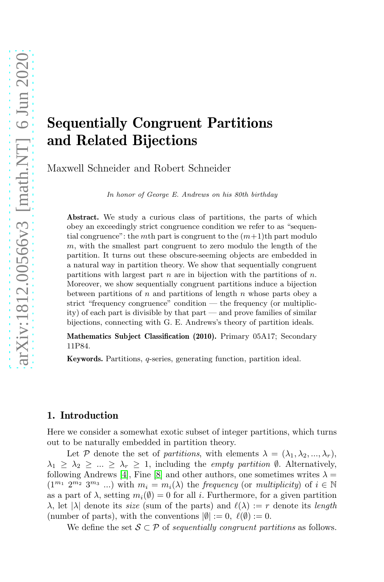# Sequentially Congruent Partitions and Related Bijections

Maxwell Schneider and Robert Schneider

In honor of George E. Andrews on his 80th birthday

Abstract. We study a curious class of partitions, the parts of which obey an exceedingly strict congruence condition we refer to as "sequential congruence": the mth part is congruent to the  $(m+1)$ th part modulo m, with the smallest part congruent to zero modulo the length of the partition. It turns out these obscure-seeming objects are embedded in a natural way in partition theory. We show that sequentially congruent partitions with largest part  $n$  are in bijection with the partitions of  $n$ . Moreover, we show sequentially congruent partitions induce a bijection between partitions of  $n$  and partitions of length  $n$  whose parts obey a strict "frequency congruence" condition — the frequency (or multiplicity) of each part is divisible by that part — and prove families of similar bijections, connecting with G. E. Andrews's theory of partition ideals.

Mathematics Subject Classification (2010). Primary 05A17; Secondary 11P84.

Keywords. Partitions, q-series, generating function, partition ideal.

## 1. Introduction

Here we consider a somewhat exotic subset of integer partitions, which turns out to be naturally embedded in partition theory.

Let P denote the set of partitions, with elements  $\lambda = (\lambda_1, \lambda_2, ..., \lambda_r)$ ,  $\lambda_1 \geq \lambda_2 \geq \ldots \geq \lambda_r \geq 1$ , including the *empty partition*  $\emptyset$ . Alternatively, following Andrews [\[4\]](#page-9-0), Fine [\[8\]](#page-9-1) and other authors, one sometimes writes  $\lambda =$  $(1^{m_1} 2^{m_2} 3^{m_3} ...)$  with  $m_i = m_i(\lambda)$  the frequency (or multiplicity) of  $i \in \mathbb{N}$ as a part of  $\lambda$ , setting  $m_i(\emptyset) = 0$  for all i. Furthermore, for a given partition  $\lambda$ , let  $|\lambda|$  denote its *size* (sum of the parts) and  $\ell(\lambda) := r$  denote its *length* (number of parts), with the conventions  $|\emptyset| := 0$ ,  $\ell(\emptyset) := 0$ .

We define the set  $S \subset \mathcal{P}$  of sequentially congruent partitions as follows.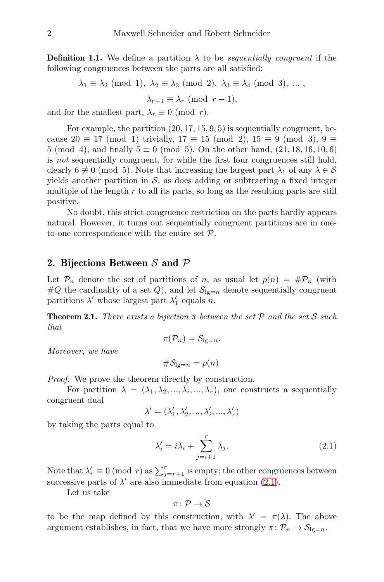**Definition 1.1.** We define a partition  $\lambda$  to be *sequentially congruent* if the following congruences between the parts are all satisfied:

$$
\lambda_1 \equiv \lambda_2 \pmod{1}, \ \lambda_2 \equiv \lambda_3 \pmod{2}, \ \lambda_3 \equiv \lambda_4 \pmod{3}, \ \dots,
$$
  
\n $\lambda_{r-1} \equiv \lambda_r \pmod{r-1},$ 

and for the smallest part,  $\lambda_r \equiv 0 \pmod{r}$ .

For example, the partition  $(20, 17, 15, 9, 5)$  is sequentially congruent, because  $20 \equiv 17 \pmod{1}$  trivially,  $17 \equiv 15 \pmod{2}$ ,  $15 \equiv 9 \pmod{3}$ ,  $9 \equiv$ 5 (mod 4), and finally  $5 \equiv 0 \pmod{5}$ . On the other hand,  $(21, 18, 16, 10, 6)$ is not sequentially congruent, for while the first four congruences still hold, clearly  $6 \not\equiv 0 \pmod{5}$ . Note that increasing the largest part  $\lambda_1$  of any  $\lambda \in \mathcal{S}$ yields another partition in  $\mathcal{S}$ , as does adding or subtracting a fixed integer multiple of the length  $r$  to all its parts, so long as the resulting parts are still positive.

No doubt, this strict congruence restriction on the parts hardly appears natural. However, it turns out sequentially congruent partitions are in oneto-one correspondence with the entire set  $P$ .

## <span id="page-1-2"></span>2. Bijections Between S and  $P$

Let  $\mathcal{P}_n$  denote the set of partitions of n, as usual let  $p(n) = \#\mathcal{P}_n$  (with  $\#Q$  the cardinality of a set Q), and let  $S_{lg=n}$  denote sequentially congruent partitions  $\lambda'$  whose largest part  $\lambda'_1$  equals *n*.

<span id="page-1-1"></span>**Theorem 2.1.** There exists a bijection  $\pi$  between the set  $\mathcal{P}$  and the set  $\mathcal{S}$  such that

$$
\pi(\mathcal{P}_n)=\mathcal{S}_{\lg=n}.
$$

Moreover, we have

 $\#\mathcal{S}_{\lg n} = p(n).$ 

Proof. We prove the theorem directly by construction.

For partition  $\lambda = (\lambda_1, \lambda_2, ..., \lambda_i, ..., \lambda_r)$ , one constructs a sequentially congruent dual

$$
\lambda' = (\lambda'_1, \lambda'_2, ..., \lambda'_i, ..., \lambda'_r)
$$

by taking the parts equal to

<span id="page-1-0"></span>
$$
\lambda'_i = i\lambda_i + \sum_{j=i+1}^r \lambda_j.
$$
\n(2.1)

Note that  $\lambda'_r \equiv 0 \pmod{r}$  as  $\sum_{j=r+1}^r$  is empty; the other congruences between successive parts of  $\lambda'$  are also immediate from equation [\(2.1\)](#page-1-0).

Let us take

$$
\pi\colon \mathcal{P}\to \mathcal{S}
$$

to be the map defined by this construction, with  $\lambda' = \pi(\lambda)$ . The above argument establishes, in fact, that we have more strongly  $\pi \colon \mathcal{P}_n \to \mathcal{S}_{\lg n}$ .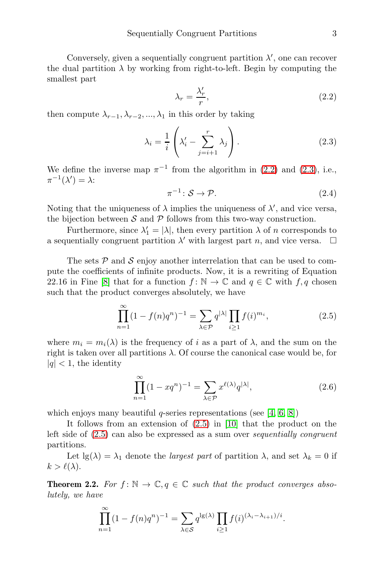Conversely, given a sequentially congruent partition  $\lambda'$ , one can recover the dual partition  $\lambda$  by working from right-to-left. Begin by computing the smallest part

<span id="page-2-0"></span>
$$
\lambda_r = \frac{\lambda'_r}{r},\tag{2.2}
$$

then compute  $\lambda_{r-1}, \lambda_{r-2}, ..., \lambda_1$  in this order by taking

<span id="page-2-1"></span>
$$
\lambda_i = \frac{1}{i} \left( \lambda_i' - \sum_{j=i+1}^r \lambda_j \right). \tag{2.3}
$$

We define the inverse map  $\pi^{-1}$  from the algorithm in [\(2.2\)](#page-2-0) and [\(2.3\)](#page-2-1), i.e.,  $\pi^{-1}(\lambda') = \lambda$ :

<span id="page-2-4"></span>
$$
\pi^{-1}: \mathcal{S} \to \mathcal{P}.\tag{2.4}
$$

Noting that the uniqueness of  $\lambda$  implies the uniqueness of  $\lambda'$ , and vice versa, the bijection between  $S$  and  $P$  follows from this two-way construction.

Furthermore, since  $\lambda'_1 = |\lambda|$ , then every partition  $\lambda$  of n corresponds to a sequentially congruent partition  $\lambda'$  with largest part n, and vice versa.  $\Box$ 

The sets  $P$  and  $S$  enjoy another interrelation that can be used to compute the coefficients of infinite products. Now, it is a rewriting of Equation 22.16 in Fine [\[8\]](#page-9-1) that for a function  $f: \mathbb{N} \to \mathbb{C}$  and  $q \in \mathbb{C}$  with  $f, q$  chosen such that the product converges absolutely, we have

<span id="page-2-2"></span>
$$
\prod_{n=1}^{\infty} (1 - f(n)q^n)^{-1} = \sum_{\lambda \in \mathcal{P}} q^{|\lambda|} \prod_{i \ge 1} f(i)^{m_i},
$$
\n(2.5)

where  $m_i = m_i(\lambda)$  is the frequency of i as a part of  $\lambda$ , and the sum on the right is taken over all partitions  $\lambda$ . Of course the canonical case would be, for  $|q|$  < 1, the identity

<span id="page-2-5"></span>
$$
\prod_{n=1}^{\infty} (1 - xq^n)^{-1} = \sum_{\lambda \in \mathcal{P}} x^{\ell(\lambda)} q^{|\lambda|},\tag{2.6}
$$

which enjoys many beautiful q-series representations (see [\[4,](#page-9-0) [6,](#page-9-2) [8\]](#page-9-1))

It follows from an extension of [\(2.5\)](#page-2-2) in [\[10\]](#page-9-3) that the product on the left side of [\(2.5\)](#page-2-2) can also be expressed as a sum over sequentially congruent partitions.

Let  $\lg(\lambda) = \lambda_1$  denote the *largest part* of partition  $\lambda$ , and set  $\lambda_k = 0$  if  $k > \ell(\lambda)$ .

<span id="page-2-3"></span>**Theorem 2.2.** For  $f: \mathbb{N} \to \mathbb{C}$ ,  $q \in \mathbb{C}$  such that the product converges absolutely, we have

$$
\prod_{n=1}^{\infty} (1 - f(n)q^n)^{-1} = \sum_{\lambda \in \mathcal{S}} q^{\lg(\lambda)} \prod_{i \ge 1} f(i)^{(\lambda_i - \lambda_{i+1})/i}.
$$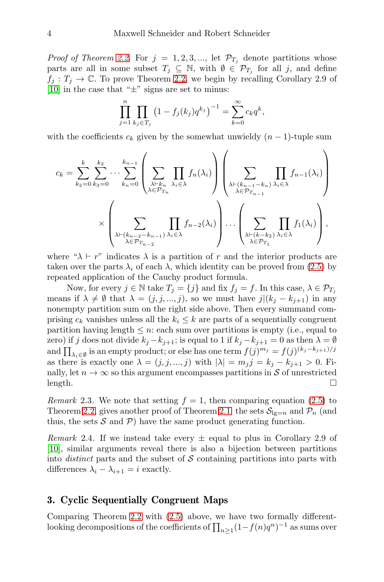*Proof of Theorem [2.2.](#page-2-3)* For  $j = 1, 2, 3, \dots$ , let  $\mathcal{P}_{T_j}$  denote partitions whose parts are all in some subset  $T_j \subseteq \mathbb{N}$ , with  $\emptyset \in \mathcal{P}_{T_j}$  for all j, and define  $f_j: T_j \to \mathbb{C}$ . To prove Theorem [2.2,](#page-2-3) we begin by recalling Corollary 2.9 of [\[10\]](#page-9-3) in the case that " $\pm$ " signs are set to minus:

$$
\prod_{j=1}^{n} \prod_{k_j \in T_j} (1 - f_j(k_j)q^{k_j})^{-1} = \sum_{k=0}^{\infty} c_k q^k,
$$

with the coefficients  $c_k$  given by the somewhat unwieldy  $(n-1)$ -tuple sum

$$
c_k = \sum_{k_2=0}^k \sum_{k_3=0}^{k_2} \cdots \sum_{k_n=0}^{k_{n-1}} \left( \sum_{\substack{\lambda \vdash k_n \\ \lambda \in \mathcal{P}_{T_n}}} \prod_{\lambda_i \in \lambda} f_n(\lambda_i) \right) \left( \sum_{\substack{\lambda \vdash (k_{n-1}-k_n) \\ \lambda \in \mathcal{P}_{T_{n-1}}}} \prod_{\lambda_i \in \lambda} f_{n-1}(\lambda_i) \right) \cdot \left( \sum_{\substack{\lambda \vdash (k_{n-1}-k_n) \\ \lambda \in \mathcal{P}_{T_{n-1}}}} \prod_{\lambda_i \in \lambda} f_1(\lambda_i) \right),
$$

$$
\times \left( \sum_{\substack{\lambda \vdash (k_{n-2}-k_{n-1}) \\ \lambda \in \mathcal{P}_{T_{n-2}}}} \prod_{\lambda_i \in \lambda} f_{n-2}(\lambda_i) \right) \cdot \cdot \left( \sum_{\substack{\lambda \vdash (k-k_2) \\ \lambda \in \mathcal{P}_{T_1}}} \prod_{\lambda_i \in \lambda} f_1(\lambda_i) \right),
$$

where " $\lambda \vdash r$ " indicates  $\lambda$  is a partition of r and the interior products are taken over the parts  $\lambda_i$  of each  $\lambda$ , which identity can be proved from [\(2.5\)](#page-2-2) by repeated application of the Cauchy product formula.

Now, for every  $j \in \mathbb{N}$  take  $T_j = \{j\}$  and fix  $f_j = f$ . In this case,  $\lambda \in \mathcal{P}_{T_j}$ means if  $\lambda \neq \emptyset$  that  $\lambda = (j, j, ..., j)$ , so we must have  $j|(k_j - k_{j+1})$  in any nonempty partition sum on the right side above. Then every summand comprising  $c_k$  vanishes unless all the  $k_i \leq k$  are parts of a sequentially congruent partition having length  $\leq n$ : each sum over partitions is empty (i.e., equal to zero) if j does not divide  $k_j - k_{j+1}$ ; is equal to 1 if  $k_j - k_{j+1} = 0$  as then  $\lambda = \emptyset$ and  $\prod_{\lambda_i \in \emptyset}$  is an empty product; or else has one term  $f(j)^{m_j} = f(j)^{(k_j - k_{j+1})/j}$ as there is exactly one  $\lambda = (j, j, ..., j)$  with  $|\lambda| = m_j j = k_j - k_{j+1} > 0$ . Finally, let  $n \to \infty$  so this argument encompasses partitions in S of unrestricted  $\Box$ 

Remark 2.3. We note that setting  $f = 1$ , then comparing equation [\(2.5\)](#page-2-2) to Theorem [2.2,](#page-2-3) gives another proof of Theorem [2.1:](#page-1-1) the sets  $\mathcal{S}_{\lg n}$  and  $\mathcal{P}_n$  (and thus, the sets  $S$  and  $\mathcal{P}$ ) have the same product generating function.

*Remark* 2.4. If we instead take every  $\pm$  equal to plus in Corollary 2.9 of [\[10\]](#page-9-3), similar arguments reveal there is also a bijection between partitions into *distinct* parts and the subset of  $S$  containing partitions into parts with differences  $\lambda_i - \lambda_{i+1} = i$  exactly.

## <span id="page-3-0"></span>3. Cyclic Sequentially Congruent Maps

Comparing Theorem [2.2](#page-2-3) with [\(2.5\)](#page-2-2) above, we have two formally differentlooking decompositions of the coefficients of  $\prod_{n\geq 1} (1-f(n)q^n)^{-1}$  as sums over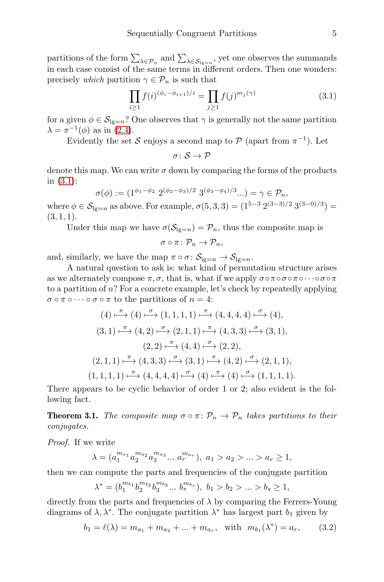partitions of the form  $\sum_{\lambda \in \mathcal{P}_n}$  and  $\sum_{\lambda \in \mathcal{S}_{lg=n}}$ , yet one observes the summands in each case consist of the same terms in different orders. Then one wonders: precisely which partition  $\gamma \in \mathcal{P}_n$  is such that

<span id="page-4-0"></span>
$$
\prod_{i\geq 1} f(i)^{(\phi_i - \phi_{i+1})/i} = \prod_{j\geq 1} f(j)^{m_j(\gamma)} \tag{3.1}
$$

for a given  $\phi \in \mathcal{S}_{\lg n}$ ? One observes that  $\gamma$  is generally not the same partition  $\lambda = \pi^{-1}(\phi)$  as in [\(2.4\)](#page-2-4).

Evidently the set S enjoys a second map to  $P$  (apart from  $\pi^{-1}$ ). Let

 $\sigma: \mathcal{S} \rightarrow \mathcal{P}$ 

denote this map. We can write  $\sigma$  down by comparing the forms of the products in [\(3.1\)](#page-4-0):

$$
\sigma(\phi) := (1^{\phi_1 - \phi_2} \ 2^{(\phi_2 - \phi_3)/2} \ 3^{(\phi_3 - \phi_4)/3} \dots) = \gamma \in \mathcal{P}_n,
$$

where  $\phi \in \mathcal{S}_{lg=n}$  as above. For example,  $\sigma(5,3,3) = (1^{5-3} 2^{(3-3)/2} 3^{(3-0)/3}) =$  $(3, 1, 1).$ 

Under this map we have  $\sigma(\mathcal{S}_{\ell=n}) = \mathcal{P}_n$ , thus the composite map is

$$
\sigma\circ\pi\colon\mathcal{P}_n\to\mathcal{P}_n,
$$

and, similarly, we have the map  $\pi \circ \sigma : \mathcal{S}_{\lg n} \to \mathcal{S}_{\lg n}$ .

A natural question to ask is: what kind of permutation structure arises as we alternately compose  $\pi, \sigma$ , that is, what if we apply  $\sigma \circ \pi \circ \sigma \circ \pi \circ \cdots \circ \sigma \circ \pi$ to a partition of n? For a concrete example, let's check by repeatedly applying  $\sigma \circ \pi \circ \cdots \circ \sigma \circ \pi$  to the partitions of  $n = 4$ :

$$
(4) \xrightarrow{\pi} (4) \xrightarrow{\sigma} (1, 1, 1, 1) \xrightarrow{\pi} (4, 4, 4, 4) \xrightarrow{\sigma} (4),
$$
  

$$
(3, 1) \xrightarrow{\pi} (4, 2) \xrightarrow{\sigma} (2, 1, 1) \xrightarrow{\pi} (4, 3, 3) \xrightarrow{\sigma} (3, 1),
$$
  

$$
(2, 2) \xrightarrow{\pi} (4, 4) \xrightarrow{\sigma} (2, 2),
$$
  

$$
(2, 1, 1) \xrightarrow{\pi} (4, 3, 3) \xrightarrow{\sigma} (3, 1) \xrightarrow{\pi} (4, 2) \xrightarrow{\sigma} (2, 1, 1),
$$
  

$$
(1, 1, 1, 1) \xrightarrow{\pi} (4, 4, 4, 4) \xrightarrow{\sigma} (4) \xrightarrow{\pi} (4) \xrightarrow{\sigma} (1, 1, 1, 1).
$$

There appears to be cyclic behavior of order 1 or 2; also evident is the following fact.

**Theorem 3.1.** The composite map  $\sigma \circ \pi : \mathcal{P}_n \to \mathcal{P}_n$  takes partitions to their conjugates.

Proof. If we write

$$
\lambda = (a_1^{m_{a_1}} a_2^{m_{a_2}} a_3^{m_{a_3}} \dots a_r^{m_{a_r}}), a_1 > a_2 > \dots > a_r \ge 1,
$$

then we can compute the parts and frequencies of the conjugate partition

$$
\lambda^*=(b_1^{m_{b_1}}b_2^{m_{b_2}}b_3^{m_{b_3}}\dots\,b_s^{m_{b_s}}),\ b_1>b_2>\dots>b_s\geq 1,
$$

directly from the parts and frequencies of  $\lambda$  by comparing the Ferrers-Young diagrams of  $\lambda, \lambda^*$ . The conjugate partition  $\lambda^*$  has largest part  $b_1$  given by

<span id="page-4-1"></span>
$$
b_1 = \ell(\lambda) = m_{a_1} + m_{a_2} + \dots + m_{a_r}
$$
, with  $m_{b_1}(\lambda^*) = a_r$ , (3.2)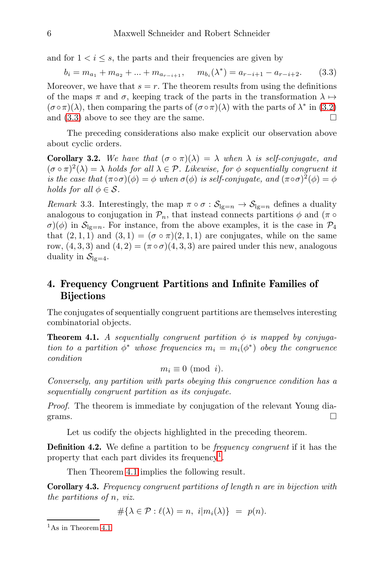and for  $1 \leq i \leq s$ , the parts and their frequencies are given by

<span id="page-5-0"></span>
$$
b_i = m_{a_1} + m_{a_2} + \dots + m_{a_{r-i+1}}, \quad m_{b_i}(\lambda^*) = a_{r-i+1} - a_{r-i+2}.\tag{3.3}
$$

Moreover, we have that  $s = r$ . The theorem results from using the definitions of the maps  $\pi$  and  $\sigma$ , keeping track of the parts in the transformation  $\lambda \mapsto$  $(\sigma \circ \pi)(\lambda)$ , then comparing the parts of  $(\sigma \circ \pi)(\lambda)$  with the parts of  $\lambda^*$  in [\(3.2\)](#page-4-1) and  $(3.3)$  above to see they are the same.

The preceding considerations also make explicit our observation above about cyclic orders.

**Corollary 3.2.** We have that  $(\sigma \circ \pi)(\lambda) = \lambda$  when  $\lambda$  is self-conjugate, and  $(\sigma \circ \pi)^2(\lambda) = \lambda$  holds for all  $\lambda \in \mathcal{P}$ . Likewise, for  $\phi$  sequentially congruent it is the case that  $(\pi \circ \sigma)(\phi) = \phi$  when  $\sigma(\phi)$  is self-conjugate, and  $(\pi \circ \sigma)^2(\phi) = \phi$ holds for all  $\phi \in \mathcal{S}$ .

Remark 3.3. Interestingly, the map  $\pi \circ \sigma : S_{\lg n} \to S_{\lg n}$  defines a duality analogous to conjugation in  $\mathcal{P}_n$ , that instead connects partitions  $\phi$  and  $(\pi \circ$  $\sigma$ )( $\phi$ ) in  $\mathcal{S}_{\mathbb{R}^n= n}$ . For instance, from the above examples, it is the case in  $\mathcal{P}_4$ that  $(2, 1, 1)$  and  $(3, 1) = (\sigma \circ \pi)(2, 1, 1)$  are conjugates, while on the same row,  $(4,3,3)$  and  $(4,2) = (\pi \circ \sigma)(4,3,3)$  are paired under this new, analogous duality in  $S_{\lg=4}$ .

## <span id="page-5-4"></span>4. Frequency Congruent Partitions and Infinite Families of Bijections

The conjugates of sequentially congruent partitions are themselves interesting combinatorial objects.

<span id="page-5-2"></span>**Theorem 4.1.** A sequentially congruent partition  $\phi$  is mapped by conjugation to a partition  $\phi^*$  whose frequencies  $m_i = m_i(\phi^*)$  obey the congruence condition

$$
m_i \equiv 0 \pmod{i}.
$$

Conversely, any partition with parts obeying this congruence condition has a sequentially congruent partition as its conjugate.

Proof. The theorem is immediate by conjugation of the relevant Young diagrams.  $\Box$ 

Let us codify the objects highlighted in the preceding theorem.

**Definition 4.2.** We define a partition to be *frequency congruent* if it has the property that each part divides its frequency<sup>[1](#page-5-1)</sup>.

Then Theorem [4.1](#page-5-2) implies the following result.

<span id="page-5-3"></span>Corollary 4.3. Frequency congruent partitions of length n are in bijection with the partitions of n, viz.

 $\#\{\lambda \in \mathcal{P} : \ell(\lambda) = n, i | m_i(\lambda)\} = p(n).$ 

<span id="page-5-1"></span><sup>1</sup>As in Theorem [4.1](#page-5-2)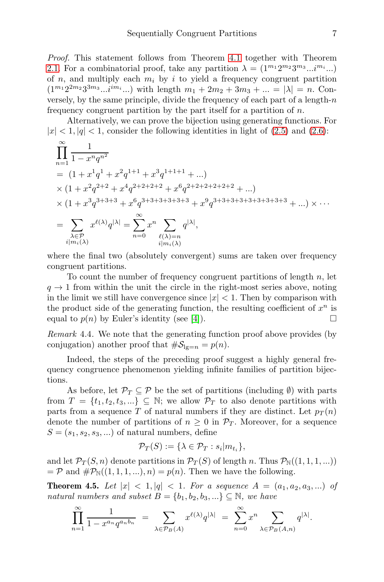Proof. This statement follows from Theorem [4.1](#page-5-2) together with Theorem [2.1.](#page-1-1) For a combinatorial proof, take any partition  $\lambda = (1^{m_1}2^{m_2}3^{m_3}...i^{m_i}...)$ of n, and multiply each  $m_i$  by i to yield a frequency congruent partition  $(1^{m_1}2^{2m_2}3^{3m_3}...i^{im_i}...)$  with length  $m_1 + 2m_2 + 3m_3 + ... = |\lambda| = n$ . Conversely, by the same principle, divide the frequency of each part of a length- $n$ frequency congruent partition by the part itself for a partition of  $n$ .

Alternatively, we can prove the bijection using generating functions. For  $|x| < 1, |q| < 1$ , consider the following identities in light of [\(2.5\)](#page-2-2) and [\(2.6\)](#page-2-5):

$$
\begin{split} & \prod_{n=1}^{\infty} \frac{1}{1-x^nq^{n^2}} \\ &= \ (1+x^1q^1+x^2q^{1+1}+x^3q^{1+1+1}+\ldots) \\ & \times (1+x^2q^{2+2}+x^4q^{2+2+2+2}+x^6q^{2+2+2+2+2+2}+\ldots) \\ & \times (1+x^3q^{3+3+3}+x^6q^{3+3+3+3+3+3}+x^9q^{3+3+3+3+3+3+3+3}+\ldots) \times \cdots \\ &= \sum_{\substack{\lambda \in \mathcal{P} \\ i|m_i(\lambda)}} x^{\ell(\lambda)}q^{|\lambda|} = \sum_{n=0}^{\infty} x^n \sum_{\substack{\ell(\lambda)=n \\ i|m_i(\lambda)}} q^{|\lambda|}, \end{split}
$$

where the final two (absolutely convergent) sums are taken over frequency congruent partitions.

To count the number of frequency congruent partitions of length  $n$ , let  $q \rightarrow 1$  from within the unit the circle in the right-most series above, noting in the limit we still have convergence since  $|x| < 1$ . Then by comparison with the product side of the generating function, the resulting coefficient of  $x^n$  is equal to  $p(n)$  by Euler's identity (see [\[4\]](#page-9-0)).

Remark 4.4. We note that the generating function proof above provides (by conjugation) another proof that  $\#\mathcal{S}_{\lg n} = p(n)$ .

Indeed, the steps of the preceding proof suggest a highly general frequency congruence phenomenon yielding infinite families of partition bijections.

As before, let  $\mathcal{P}_T \subseteq \mathcal{P}$  be the set of partitions (including  $\emptyset$ ) with parts from  $T = \{t_1, t_2, t_3, ...\} \subseteq \mathbb{N}$ ; we allow  $\mathcal{P}_T$  to also denote partitions with parts from a sequence T of natural numbers if they are distinct. Let  $p_T(n)$ denote the number of partitions of  $n \geq 0$  in  $\mathcal{P}_T$ . Moreover, for a sequence  $S = (s_1, s_2, s_3, \ldots)$  of natural numbers, define

$$
\mathcal{P}_T(S) := \{ \lambda \in \mathcal{P}_T : s_i | m_{t_i} \},
$$

and let  $\mathcal{P}_T(S, n)$  denote partitions in  $\mathcal{P}_T(S)$  of length n. Thus  $\mathcal{P}_N((1, 1, 1, ...)$  $= \mathcal{P}$  and  $\#P_{\mathbb{N}}((1,1,1,\ldots), n) = p(n)$ . Then we have the following.

<span id="page-6-0"></span>**Theorem 4.5.** Let  $|x| < 1, |q| < 1$ . For a sequence  $A = (a_1, a_2, a_3, ...)$  of natural numbers and subset  $B = \{b_1, b_2, b_3, ...\} \subseteq \mathbb{N}$ , we have

$$
\prod_{n=1}^{\infty} \frac{1}{1 - x^{a_n} q^{a_n b_n}} = \sum_{\lambda \in \mathcal{P}_B(A)} x^{\ell(\lambda)} q^{|\lambda|} = \sum_{n=0}^{\infty} x^n \sum_{\lambda \in \mathcal{P}_B(A,n)} q^{|\lambda|}.
$$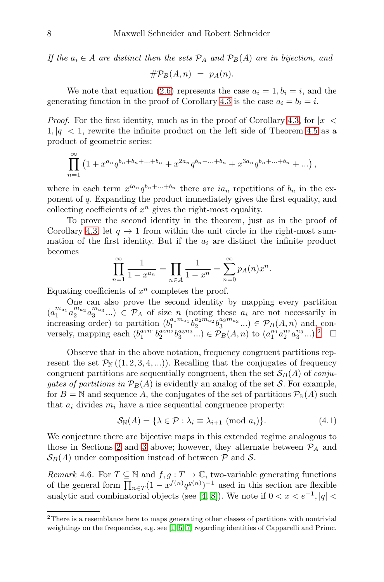If the  $a_i \in A$  are distinct then the sets  $\mathcal{P}_A$  and  $\mathcal{P}_B(A)$  are in bijection, and

$$
\# \mathcal{P}_B(A,n) = p_A(n).
$$

We note that equation [\(2.6\)](#page-2-5) represents the case  $a_i = 1, b_i = i$ , and the generating function in the proof of Corollary [4.3](#page-5-3) is the case  $a_i = b_i = i$ .

*Proof.* For the first identity, much as in the proof of Corollary [4.3,](#page-5-3) for  $|x|$  $1, |q| < 1$ , rewrite the infinite product on the left side of Theorem [4.5](#page-6-0) as a product of geometric series:

$$
\prod_{n=1}^{\infty} \left( 1 + x^{a_n} q^{b_n + b_n + \dots + b_n} + x^{2a_n} q^{b_n + \dots + b_n} + x^{3a_n} q^{b_n + \dots + b_n} + \dots \right),
$$

where in each term  $x^{ia_n}q^{b_n+\ldots+b_n}$  there are  $ia_n$  repetitions of  $b_n$  in the exponent of q. Expanding the product immediately gives the first equality, and collecting coefficients of  $x^n$  gives the right-most equality.

To prove the second identity in the theorem, just as in the proof of Corollary [4.3,](#page-5-3) let  $q \to 1$  from within the unit circle in the right-most summation of the first identity. But if the  $a_i$  are distinct the infinite product becomes

$$
\prod_{n=1}^{\infty} \frac{1}{1 - x^{a_n}} = \prod_{n \in A} \frac{1}{1 - x^n} = \sum_{n=0}^{\infty} p_A(n) x^n.
$$

Equating coefficients of  $x^n$  completes the proof.

One can also prove the second identity by mapping every partition  $(a_1^{m_{a_1}}a_2^{m_{a_2}}a_3^{m_{a_3}}...) \in \mathcal{P}_A$  of size n (noting these  $a_i$  are not necessarily in increasing order) to partition  $(b_1^{a_1m_{a_1}}b_2^{a_2m_{a_2}}b_3^{a_3m_{a_3}}...) \in \mathcal{P}_B(A,n)$  and, conversely, mapping each  $(b_1^{a_1n_1}b_2^{a_2n_2}b_3^{a_3n_3}...)\in \mathcal{P}_B(A,n)$  $(b_1^{a_1n_1}b_2^{a_2n_2}b_3^{a_3n_3}...)\in \mathcal{P}_B(A,n)$  $(b_1^{a_1n_1}b_2^{a_2n_2}b_3^{a_3n_3}...)\in \mathcal{P}_B(A,n)$  to  $(a_1^{n_1}a_2^{n_2}a_3^{n_3}...).$ <sup>2</sup>  $\Box$ 

Observe that in the above notation, frequency congruent partitions represent the set  $\mathcal{P}_{\mathbb{N}}((1,2,3,4,...))$ . Recalling that the conjugates of frequency congruent partitions are sequentially congruent, then the set  $\mathcal{S}_{B}(A)$  of conjugates of partitions in  $\mathcal{P}_B(A)$  is evidently an analog of the set S. For example, for  $B = \mathbb{N}$  and sequence A, the conjugates of the set of partitions  $\mathcal{P}_{\mathbb{N}}(A)$  such that  $a_i$  divides  $m_i$  have a nice sequential congruence property:

$$
S_{\mathbb{N}}(A) = \{ \lambda \in \mathcal{P} : \lambda_i \equiv \lambda_{i+1} \pmod{a_i} \}.
$$
 (4.1)

We conjecture there are bijective maps in this extended regime analogous to those in Sections [2](#page-1-2) and [3](#page-3-0) above; however, they alternate between  $P_A$  and  $\mathcal{S}_{B}(A)$  under composition instead of between  $\mathcal{P}$  and  $\mathcal{S}$ .

*Remark* 4.6. For  $T \subseteq \mathbb{N}$  and  $f, g: T \to \mathbb{C}$ , two-variable generating functions of the general form  $\prod_{n\in\mathcal{I}}(1-x^{f(n)}q^{g(n)})^{-1}$  used in this section are flexible analytic and combinatorial objects (see [\[4,](#page-9-0) [8\]](#page-9-1)). We note if  $0 < x < e^{-1}$ ,  $|q| <$ 

<span id="page-7-0"></span><sup>2</sup>There is a resemblance here to maps generating other classes of partitions with nontrivial weightings on the frequencies, e.g. see [\[1,](#page-9-4) [5,](#page-9-5) [7\]](#page-9-6) regarding identities of Capparelli and Primc.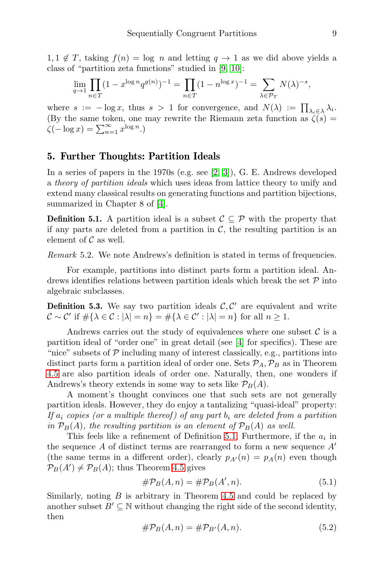$1, 1 \notin T$ , taking  $f(n) = \log n$  and letting  $q \to 1$  as we did above yields a class of "partition zeta functions" studied in [\[9,](#page-9-7) [10\]](#page-9-3):

$$
\lim_{q \to 1} \prod_{n \in T} (1 - x^{\log n} q^{g(n)})^{-1} = \prod_{n \in T} (1 - n^{\log x})^{-1} = \sum_{\lambda \in \mathcal{P}_T} N(\lambda)^{-s},
$$

where  $s := -\log x$ , thus  $s > 1$  for convergence, and  $N(\lambda) := \prod_{\lambda_i \in \lambda} \lambda_i$ . (By the same token, one may rewrite the Riemann zeta function as  $\zeta(s)$  =  $\zeta(-\log x) = \sum_{n=1}^{\infty} x^{\log n}$ .)

### 5. Further Thoughts: Partition Ideals

In a series of papers in the 1970s (e.g. see [\[2,](#page-9-8) [3\]](#page-9-9)), G. E. Andrews developed a theory of partition ideals which uses ideas from lattice theory to unify and extend many classical results on generating functions and partition bijections, summarized in Chapter 8 of [\[4\]](#page-9-0).

<span id="page-8-0"></span>**Definition 5.1.** A partition ideal is a subset  $\mathcal{C} \subseteq \mathcal{P}$  with the property that if any parts are deleted from a partition in  $\mathcal{C}$ , the resulting partition is an element of  $\mathcal C$  as well.

Remark 5.2. We note Andrews's definition is stated in terms of frequencies.

For example, partitions into distinct parts form a partition ideal. Andrews identifies relations between partition ideals which break the set  $\mathcal{P}$  into algebraic subclasses.

<span id="page-8-3"></span>**Definition 5.3.** We say two partition ideals  $\mathcal{C}, \mathcal{C}'$  are equivalent and write  $\mathcal{C} \sim \mathcal{C}'$  if  $\#\{\lambda \in \mathcal{C} : |\lambda| = n\} = \#\{\lambda \in \mathcal{C}' : |\lambda| = n\}$  for all  $n \geq 1$ .

Andrews carries out the study of equivalences where one subset  $\mathcal C$  is a partition ideal of "order one" in great detail (see [\[4\]](#page-9-0) for specifics). These are "nice" subsets of  $\mathcal P$  including many of interest classically, e.g., partitions into distinct parts form a partition ideal of order one. Sets  $P_A, P_B$  as in Theorem [4.5](#page-6-0) are also partition ideals of order one. Naturally, then, one wonders if Andrews's theory extends in some way to sets like  $\mathcal{P}_B(A)$ .

A moment's thought convinces one that such sets are not generally partition ideals. However, they do enjoy a tantalizing "quasi-ideal" property: If  $a_i$  copies (or a multiple thereof) of any part  $b_i$  are deleted from a partition in  $\mathcal{P}_B(A)$ , the resulting partition is an element of  $\mathcal{P}_B(A)$  as well.

This feels like a refinement of Definition [5.1.](#page-8-0) Furthermore, if the  $a_i$  in the sequence  $A$  of distinct terms are rearranged to form a new sequence  $A'$ (the same terms in a different order), clearly  $p_{A'}(n) = p_A(n)$  even though  $\mathcal{P}_B(A') \neq \mathcal{P}_B(A)$ ; thus Theorem [4.5](#page-6-0) gives

<span id="page-8-1"></span>
$$
\# \mathcal{P}_B(A, n) = \# \mathcal{P}_B(A', n). \tag{5.1}
$$

Similarly, noting  $B$  is arbitrary in Theorem [4.5](#page-6-0) and could be replaced by another subset  $B' \subseteq \mathbb{N}$  without changing the right side of the second identity, then

<span id="page-8-2"></span>
$$
\# \mathcal{P}_B(A, n) = \# \mathcal{P}_{B'}(A, n). \tag{5.2}
$$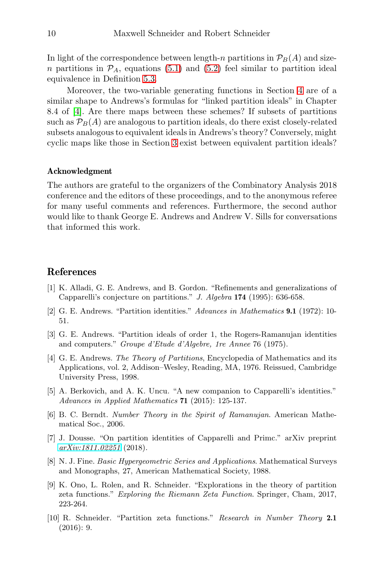In light of the correspondence between length-n partitions in  $\mathcal{P}_B(A)$  and sizen partitions in  $\mathcal{P}_A$ , equations [\(5.1\)](#page-8-1) and [\(5.2\)](#page-8-2) feel similar to partition ideal equivalence in Definition [5.3.](#page-8-3)

Moreover, the two-variable generating functions in Section [4](#page-5-4) are of a similar shape to Andrews's formulas for "linked partition ideals" in Chapter 8.4 of [\[4\]](#page-9-0). Are there maps between these schemes? If subsets of partitions such as  $\mathcal{P}_B(A)$  are analogous to partition ideals, do there exist closely-related subsets analogous to equivalent ideals in Andrews's theory? Conversely, might cyclic maps like those in Section [3](#page-3-0) exist between equivalent partition ideals?

#### Acknowledgment

The authors are grateful to the organizers of the Combinatory Analysis 2018 conference and the editors of these proceedings, and to the anonymous referee for many useful comments and references. Furthermore, the second author would like to thank George E. Andrews and Andrew V. Sills for conversations that informed this work.

## <span id="page-9-4"></span>References

- [1] K. Alladi, G. E. Andrews, and B. Gordon. "Refinements and generalizations of Capparelli's conjecture on partitions." J. Algebra 174 (1995): 636-658.
- <span id="page-9-8"></span>[2] G. E. Andrews. "Partition identities." Advances in Mathematics 9.1 (1972): 10- 51.
- <span id="page-9-9"></span>[3] G. E. Andrews. "Partition ideals of order 1, the Rogers-Ramanujan identities and computers." Groupe d'Etude d'Algebre, 1re Annee 76 (1975).
- <span id="page-9-0"></span>[4] G. E. Andrews. The Theory of Partitions, Encyclopedia of Mathematics and its Applications, vol. 2, Addison–Wesley, Reading, MA, 1976. Reissued, Cambridge University Press, 1998.
- <span id="page-9-5"></span>[5] A. Berkovich, and A. K. Uncu. "A new companion to Capparelli's identities." Advances in Applied Mathematics 71 (2015): 125-137.
- <span id="page-9-2"></span>[6] B. C. Berndt. Number Theory in the Spirit of Ramanujan. American Mathematical Soc., 2006.
- <span id="page-9-6"></span>[7] J. Dousse. "On partition identities of Capparelli and Primc." arXiv preprint [arXiv:1811.02251](http://arxiv.org/abs/1811.02251) (2018).
- <span id="page-9-1"></span>[8] N. J. Fine. Basic Hypergeometric Series and Applications. Mathematical Surveys and Monographs, 27, American Mathematical Society, 1988.
- <span id="page-9-7"></span>[9] K. Ono, L. Rolen, and R. Schneider. "Explorations in the theory of partition zeta functions." Exploring the Riemann Zeta Function. Springer, Cham, 2017, 223-264.
- <span id="page-9-3"></span>[10] R. Schneider. "Partition zeta functions." Research in Number Theory 2.1 (2016): 9.